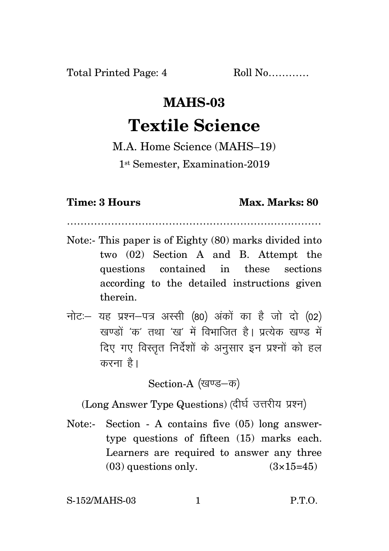## **MAHS-03 Textile Science**

## M.A. Home Science (MAHS–19)

1 st Semester, Examination-2019

## **Time: 3 Hours Max. Marks: 80**

…………………………………………………………………

- Note:- This paper is of Eighty (80) marks divided into two (02) Section A and B. Attempt the questions contained in these sections according to the detailed instructions given therein.
- नोट: यह प्रश्न-पत्र अस्सी (80) अंकों का है जो दो (02) खण्डों *'क'* तथा 'ख' में विभाजित है। प्रत्येक खण्ड में दिए गए विस्तृत निर्देशों के अनुसार इन प्रश्नों को हल करना $\hat{\mathcal{R}}$ ।

Section-A (खण्ड-क)

(Long Answer Type Questions) (दीर्घ उत्तरीय प्रश्न)

Note:- Section - A contains five (05) long answertype questions of fifteen (15) marks each. Learners are required to answer any three  $(03)$  questions only.  $(3\times15=45)$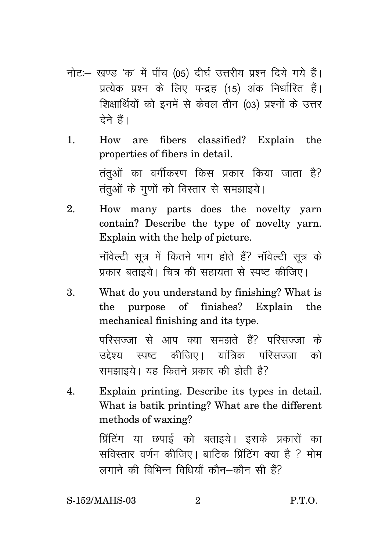- नोट: खण्ड 'क' में पाँच (05) दीर्घ उत्तरीय प्रश्न दिये गये हैं। प्रत्येक प्रश्न के लिए पन्द्रह (15) अंक निर्धारित हैं। शिक्षार्थियों को इनमें से केवल तीन (03) प्रश्नों के उत्तर देने हैं।
- 1. How are fibers classified? Explain the properties of fibers in detail. तंतुओं का वर्गीकरण किस प्रकार किया जाता है? तंतुओं के गुणों को विस्तार से समझाइये।
- 2. How many parts does the novelty yarn contain? Describe the type of novelty yarn. Explain with the help of picture. नॉवेल्टी सत्र में कितने भाग होते हैं? नॉवेल्टी सत्र के प्रकार बताइये। चित्र की सहायता से स्पष्ट कीजिए।
- 3. What do you understand by finishing? What is the purpose of finishes? Explain the mechanical finishing and its type.

परिसज्जा से आप क्या समझते हैं? परिसज्जा के उद्देश्य स्पष्ट कीजिए। यांत्रिक परिसज्जा को समझाइये। यह कितने प्रकार की होती है?

4. Explain printing. Describe its types in detail. What is batik printing? What are the different methods of waxing? प्रिंटिंग या छपाई को बताइये। इसके प्रकारों का सविस्तार वर्णन कीजिए। बाटिक प्रिंटिंग क्या है ? मोम लगाने की विभिन्न विधियाँ कौन $-$ कौन सी हैं?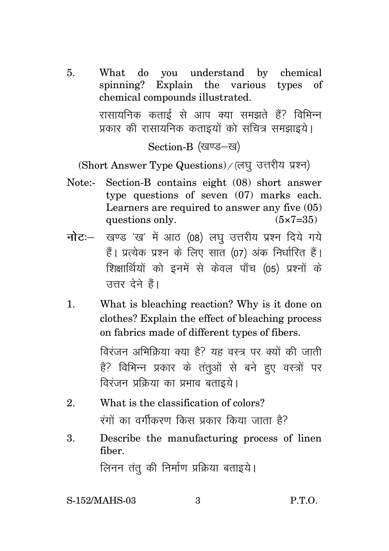5. What do you understand by chemical spinning? Explain the various types of chemical compounds illustrated. रासायनिक कताई से आप क्या समझते हैं? विभिन्न प्रकार की रासायनिक कताइयों को सचित्र समझाइये।

Section-B (खण्ड-ख)

(Short Answer Type Questions) / (लघु उत्तरीय प्रश्न)

- Note:- Section-B contains eight (08) short answer type questions of seven (07) marks each. Learners are required to answer any five (05) questions only.  $(5 \times 7 = 35)$
- **नोट**: खण्ड 'ख' में आठ (08) लघु उत्तरीय प्रश्न दिये गये हैं। प्रत्येक प्रश्न के लिए सात (07) अंक निर्धारित हैं। शिक्षार्थियों को इनमें से केवल पाँच (05) प्रश्नों के उत्तर देने हैं।
- 1. What is bleaching reaction? Why is it done on clothes? Explain the effect of bleaching process on fabrics made of different types of fibers.

विरंजन अभिक्रिया क्या है? यह वस्त्र पर क्यों की जाती है? विभिन्न प्रकार के तंतुओं से बने हुए वस्त्रों पर विरंजन प्रक्रिया का प्रभाव बताइये।

- 2. What is the classification of colors? रंगों का वर्गीकरण किस प्रकार किया जाता है?
- 3. Describe the manufacturing process of linen fiber.

लिनन तंतू की निर्माण प्रक्रिया बताइये।